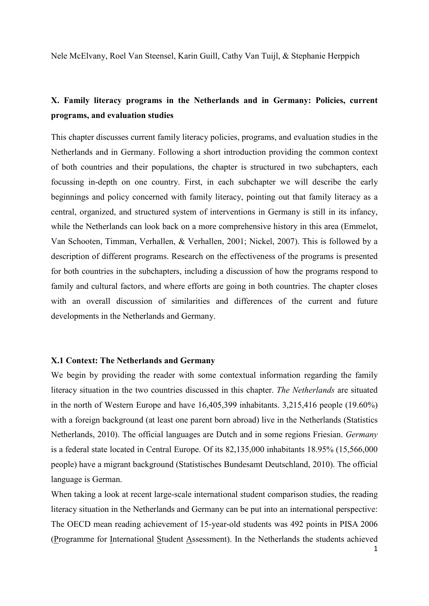Nele McElvany, Roel Van Steensel, Karin Guill, Cathy Van Tuijl, & Stephanie Herppich

# **X. Family literacy programs in the Netherlands and in Germany: Policies, current programs, and evaluation studies**

This chapter discusses current family literacy policies, programs, and evaluation studies in the Netherlands and in Germany. Following a short introduction providing the common context of both countries and their populations, the chapter is structured in two subchapters, each focussing in-depth on one country. First, in each subchapter we will describe the early beginnings and policy concerned with family literacy, pointing out that family literacy as a central, organized, and structured system of interventions in Germany is still in its infancy, while the Netherlands can look back on a more comprehensive history in this area (Emmelot, Van Schooten, Timman, Verhallen, & Verhallen, 2001; Nickel, 2007). This is followed by a description of different programs. Research on the effectiveness of the programs is presented for both countries in the subchapters, including a discussion of how the programs respond to family and cultural factors, and where efforts are going in both countries. The chapter closes with an overall discussion of similarities and differences of the current and future developments in the Netherlands and Germany.

# **X.1 Context: The Netherlands and Germany**

We begin by providing the reader with some contextual information regarding the family literacy situation in the two countries discussed in this chapter. *The Netherlands* are situated in the north of Western Europe and have 16,405,399 inhabitants. 3,215,416 people (19.60%) with a foreign background (at least one parent born abroad) live in the Netherlands (Statistics Netherlands, 2010). The official languages are Dutch and in some regions Friesian. *Germany* is a federal state located in Central Europe. Of its 82,135,000 inhabitants 18.95% (15,566,000 people) have a migrant background (Statistisches Bundesamt Deutschland, 2010). The official language is German.

When taking a look at recent large-scale international student comparison studies, the reading literacy situation in the Netherlands and Germany can be put into an international perspective: The OECD mean reading achievement of 15-year-old students was 492 points in PISA 2006 (Programme for International Student Assessment). In the Netherlands the students achieved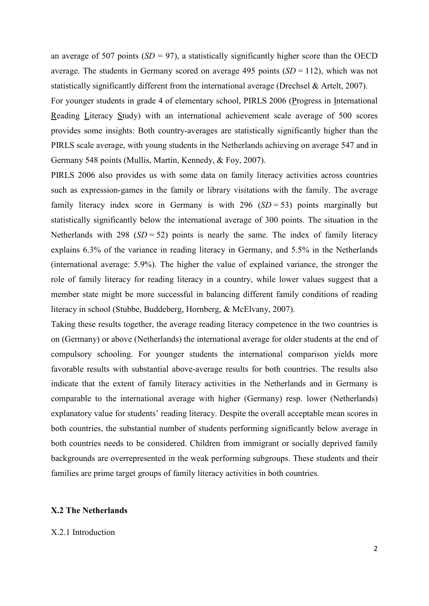an average of 507 points  $(SD = 97)$ , a statistically significantly higher score than the OECD average. The students in Germany scored on average 495 points  $(SD = 112)$ , which was not statistically significantly different from the international average (Drechsel & Artelt, 2007).

For younger students in grade 4 of elementary school, PIRLS 2006 (Progress in International Reading Literacy Study) with an international achievement scale average of 500 scores provides some insights: Both country-averages are statistically significantly higher than the PIRLS scale average, with young students in the Netherlands achieving on average 547 and in Germany 548 points (Mullis, Martin, Kennedy, & Foy, 2007).

PIRLS 2006 also provides us with some data on family literacy activities across countries such as expression-games in the family or library visitations with the family. The average family literacy index score in Germany is with  $296$  ( $SD = 53$ ) points marginally but statistically significantly below the international average of 300 points. The situation in the Netherlands with 298  $(SD = 52)$  points is nearly the same. The index of family literacy explains 6.3% of the variance in reading literacy in Germany, and 5.5% in the Netherlands (international average: 5.9%). The higher the value of explained variance, the stronger the role of family literacy for reading literacy in a country, while lower values suggest that a member state might be more successful in balancing different family conditions of reading literacy in school (Stubbe, Buddeberg, Hornberg, & McElvany, 2007).

Taking these results together, the average reading literacy competence in the two countries is on (Germany) or above (Netherlands) the international average for older students at the end of compulsory schooling. For younger students the international comparison yields more favorable results with substantial above-average results for both countries. The results also indicate that the extent of family literacy activities in the Netherlands and in Germany is comparable to the international average with higher (Germany) resp. lower (Netherlands) explanatory value for students' reading literacy. Despite the overall acceptable mean scores in both countries, the substantial number of students performing significantly below average in both countries needs to be considered. Children from immigrant or socially deprived family backgrounds are overrepresented in the weak performing subgroups. These students and their families are prime target groups of family literacy activities in both countries.

# **X.2 The Netherlands**

# X.2.1 Introduction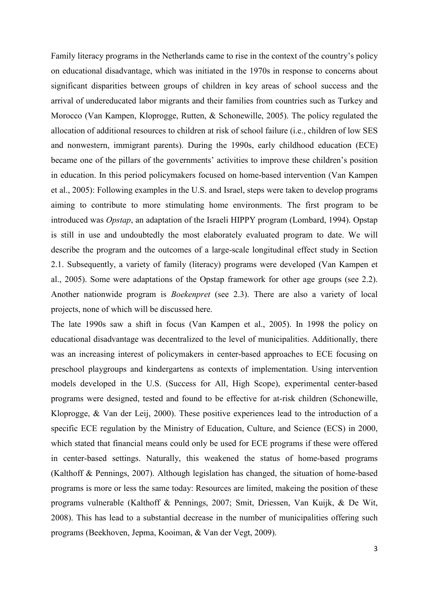Family literacy programs in the Netherlands came to rise in the context of the country's policy on educational disadvantage, which was initiated in the 1970s in response to concerns about significant disparities between groups of children in key areas of school success and the arrival of undereducated labor migrants and their families from countries such as Turkey and Morocco (Van Kampen, Kloprogge, Rutten, & Schonewille, 2005). The policy regulated the allocation of additional resources to children at risk of school failure (i.e., children of low SES and nonwestern, immigrant parents). During the 1990s, early childhood education (ECE) became one of the pillars of the governments' activities to improve these children's position in education. In this period policymakers focused on home-based intervention (Van Kampen et al., 2005): Following examples in the U.S. and Israel, steps were taken to develop programs aiming to contribute to more stimulating home environments. The first program to be introduced was *Opstap*, an adaptation of the Israeli HIPPY program (Lombard, 1994). Opstap is still in use and undoubtedly the most elaborately evaluated program to date. We will describe the program and the outcomes of a large-scale longitudinal effect study in Section 2.1. Subsequently, a variety of family (literacy) programs were developed (Van Kampen et al., 2005). Some were adaptations of the Opstap framework for other age groups (see 2.2). Another nationwide program is *Boekenpret* (see 2.3). There are also a variety of local projects, none of which will be discussed here.

The late 1990s saw a shift in focus (Van Kampen et al., 2005). In 1998 the policy on educational disadvantage was decentralized to the level of municipalities. Additionally, there was an increasing interest of policymakers in center-based approaches to ECE focusing on preschool playgroups and kindergartens as contexts of implementation. Using intervention models developed in the U.S. (Success for All, High Scope), experimental center-based programs were designed, tested and found to be effective for at-risk children (Schonewille, Kloprogge, & Van der Leij, 2000). These positive experiences lead to the introduction of a specific ECE regulation by the Ministry of Education, Culture, and Science (ECS) in 2000, which stated that financial means could only be used for ECE programs if these were offered in center-based settings. Naturally, this weakened the status of home-based programs (Kalthoff & Pennings, 2007). Although legislation has changed, the situation of home-based programs is more or less the same today: Resources are limited, makeing the position of these programs vulnerable (Kalthoff & Pennings, 2007; Smit, Driessen, Van Kuijk, & De Wit, 2008). This has lead to a substantial decrease in the number of municipalities offering such programs (Beekhoven, Jepma, Kooiman, & Van der Vegt, 2009).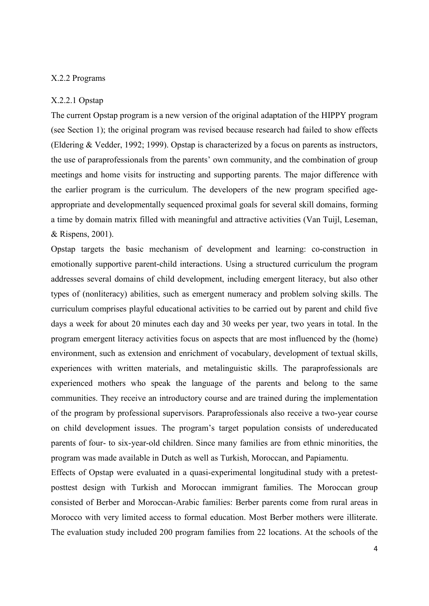# X.2.2 Programs

### X.2.2.1 Opstap

The current Opstap program is a new version of the original adaptation of the HIPPY program (see Section 1); the original program was revised because research had failed to show effects (Eldering & Vedder, 1992; 1999). Opstap is characterized by a focus on parents as instructors, the use of paraprofessionals from the parents' own community, and the combination of group meetings and home visits for instructing and supporting parents. The major difference with the earlier program is the curriculum. The developers of the new program specified ageappropriate and developmentally sequenced proximal goals for several skill domains, forming a time by domain matrix filled with meaningful and attractive activities (Van Tuijl, Leseman, & Rispens, 2001).

Opstap targets the basic mechanism of development and learning: co-construction in emotionally supportive parent-child interactions. Using a structured curriculum the program addresses several domains of child development, including emergent literacy, but also other types of (nonliteracy) abilities, such as emergent numeracy and problem solving skills. The curriculum comprises playful educational activities to be carried out by parent and child five days a week for about 20 minutes each day and 30 weeks per year, two years in total. In the program emergent literacy activities focus on aspects that are most influenced by the (home) environment, such as extension and enrichment of vocabulary, development of textual skills, experiences with written materials, and metalinguistic skills. The paraprofessionals are experienced mothers who speak the language of the parents and belong to the same communities. They receive an introductory course and are trained during the implementation of the program by professional supervisors. Paraprofessionals also receive a two-year course on child development issues. The program's target population consists of undereducated parents of four- to six-year-old children. Since many families are from ethnic minorities, the program was made available in Dutch as well as Turkish, Moroccan, and Papiamentu.

Effects of Opstap were evaluated in a quasi-experimental longitudinal study with a pretestposttest design with Turkish and Moroccan immigrant families. The Moroccan group consisted of Berber and Moroccan-Arabic families: Berber parents come from rural areas in Morocco with very limited access to formal education. Most Berber mothers were illiterate. The evaluation study included 200 program families from 22 locations. At the schools of the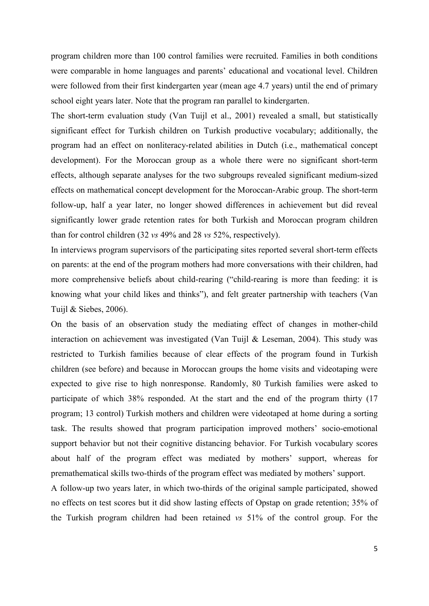program children more than 100 control families were recruited. Families in both conditions were comparable in home languages and parents' educational and vocational level. Children were followed from their first kindergarten year (mean age 4.7 years) until the end of primary school eight years later. Note that the program ran parallel to kindergarten.

The short-term evaluation study (Van Tuijl et al., 2001) revealed a small, but statistically significant effect for Turkish children on Turkish productive vocabulary; additionally, the program had an effect on nonliteracy-related abilities in Dutch (i.e., mathematical concept development). For the Moroccan group as a whole there were no significant short-term effects, although separate analyses for the two subgroups revealed significant medium-sized effects on mathematical concept development for the Moroccan-Arabic group. The short-term follow-up, half a year later, no longer showed differences in achievement but did reveal significantly lower grade retention rates for both Turkish and Moroccan program children than for control children (32 *vs* 49% and 28 *vs* 52%, respectively).

In interviews program supervisors of the participating sites reported several short-term effects on parents: at the end of the program mothers had more conversations with their children, had more comprehensive beliefs about child-rearing ("child-rearing is more than feeding: it is knowing what your child likes and thinks"), and felt greater partnership with teachers (Van Tuijl & Siebes, 2006).

On the basis of an observation study the mediating effect of changes in mother-child interaction on achievement was investigated (Van Tuijl & Leseman, 2004). This study was restricted to Turkish families because of clear effects of the program found in Turkish children (see before) and because in Moroccan groups the home visits and videotaping were expected to give rise to high nonresponse. Randomly, 80 Turkish families were asked to participate of which 38% responded. At the start and the end of the program thirty (17 program; 13 control) Turkish mothers and children were videotaped at home during a sorting task. The results showed that program participation improved mothers' socio-emotional support behavior but not their cognitive distancing behavior. For Turkish vocabulary scores about half of the program effect was mediated by mothers' support, whereas for premathematical skills two-thirds of the program effect was mediated by mothers' support.

A follow-up two years later, in which two-thirds of the original sample participated, showed no effects on test scores but it did show lasting effects of Opstap on grade retention; 35% of the Turkish program children had been retained *vs* 51% of the control group. For the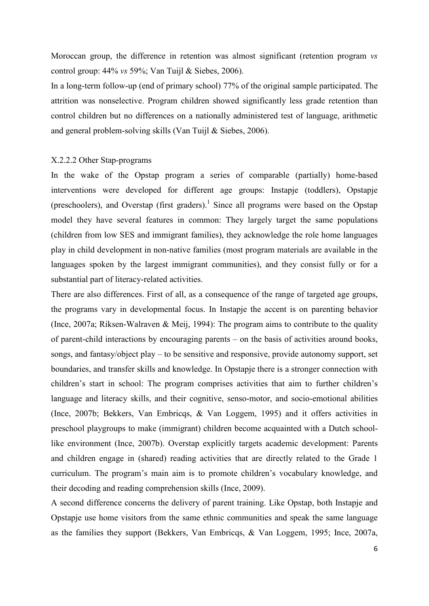Moroccan group, the difference in retention was almost significant (retention program *vs* control group: 44% *vs* 59%; Van Tuijl & Siebes, 2006).

In a long-term follow-up (end of primary school) 77% of the original sample participated. The attrition was nonselective. Program children showed significantly less grade retention than control children but no differences on a nationally administered test of language, arithmetic and general problem-solving skills (Van Tuijl & Siebes, 2006).

# X.2.2.2 Other Stap-programs

In the wake of the Opstap program a series of comparable (partially) home-based interventions were developed for different age groups: Instapje (toddlers), Opstapje (preschoolers), and Overstap (first graders).<sup>1</sup> Since all programs were based on the Opstap model they have several features in common: They largely target the same populations (children from low SES and immigrant families), they acknowledge the role home languages play in child development in non-native families (most program materials are available in the languages spoken by the largest immigrant communities), and they consist fully or for a substantial part of literacy-related activities.

There are also differences. First of all, as a consequence of the range of targeted age groups, the programs vary in developmental focus. In Instapje the accent is on parenting behavior (Ince, 2007a; Riksen-Walraven & Meij, 1994): The program aims to contribute to the quality of parent-child interactions by encouraging parents – on the basis of activities around books, songs, and fantasy/object play – to be sensitive and responsive, provide autonomy support, set boundaries, and transfer skills and knowledge. In Opstapje there is a stronger connection with children's start in school: The program comprises activities that aim to further children's language and literacy skills, and their cognitive, senso-motor, and socio-emotional abilities (Ince, 2007b; Bekkers, Van Embricqs, & Van Loggem, 1995) and it offers activities in preschool playgroups to make (immigrant) children become acquainted with a Dutch schoollike environment (Ince, 2007b). Overstap explicitly targets academic development: Parents and children engage in (shared) reading activities that are directly related to the Grade 1 curriculum. The program's main aim is to promote children's vocabulary knowledge, and their decoding and reading comprehension skills (Ince, 2009).

A second difference concerns the delivery of parent training. Like Opstap, both Instapje and Opstapje use home visitors from the same ethnic communities and speak the same language as the families they support (Bekkers, Van Embricqs, & Van Loggem, 1995; Ince, 2007a,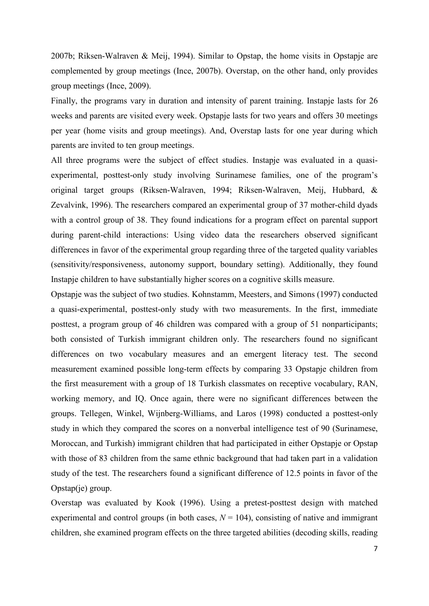2007b; Riksen-Walraven & Meij, 1994). Similar to Opstap, the home visits in Opstapje are complemented by group meetings (Ince, 2007b). Overstap, on the other hand, only provides group meetings (Ince, 2009).

Finally, the programs vary in duration and intensity of parent training. Instapie lasts for 26 weeks and parents are visited every week. Opstapje lasts for two years and offers 30 meetings per year (home visits and group meetings). And, Overstap lasts for one year during which parents are invited to ten group meetings.

All three programs were the subject of effect studies. Instapje was evaluated in a quasiexperimental, posttest-only study involving Surinamese families, one of the program's original target groups (Riksen-Walraven, 1994; Riksen-Walraven, Meij, Hubbard, & Zevalvink, 1996). The researchers compared an experimental group of 37 mother-child dyads with a control group of 38. They found indications for a program effect on parental support during parent-child interactions: Using video data the researchers observed significant differences in favor of the experimental group regarding three of the targeted quality variables (sensitivity/responsiveness, autonomy support, boundary setting). Additionally, they found Instapje children to have substantially higher scores on a cognitive skills measure.

Opstapje was the subject of two studies. Kohnstamm, Meesters, and Simons (1997) conducted a quasi-experimental, posttest-only study with two measurements. In the first, immediate posttest, a program group of 46 children was compared with a group of 51 nonparticipants; both consisted of Turkish immigrant children only. The researchers found no significant differences on two vocabulary measures and an emergent literacy test. The second measurement examined possible long-term effects by comparing 33 Opstapje children from the first measurement with a group of 18 Turkish classmates on receptive vocabulary, RAN, working memory, and IQ. Once again, there were no significant differences between the groups. Tellegen, Winkel, Wijnberg-Williams, and Laros (1998) conducted a posttest-only study in which they compared the scores on a nonverbal intelligence test of 90 (Surinamese, Moroccan, and Turkish) immigrant children that had participated in either Opstapje or Opstap with those of 83 children from the same ethnic background that had taken part in a validation study of the test. The researchers found a significant difference of 12.5 points in favor of the Opstap(je) group.

Overstap was evaluated by Kook (1996). Using a pretest-posttest design with matched experimental and control groups (in both cases,  $N = 104$ ), consisting of native and immigrant children, she examined program effects on the three targeted abilities (decoding skills, reading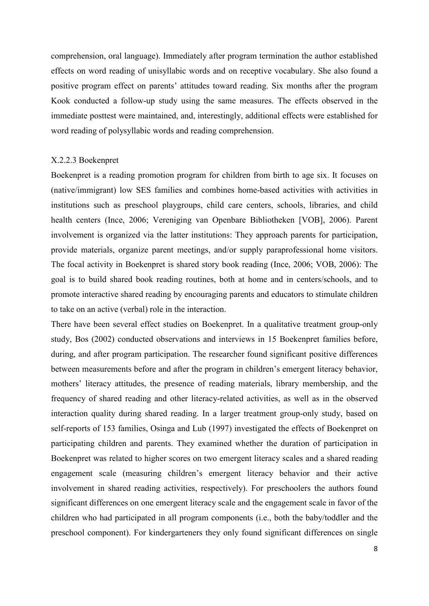comprehension, oral language). Immediately after program termination the author established effects on word reading of unisyllabic words and on receptive vocabulary. She also found a positive program effect on parents' attitudes toward reading. Six months after the program Kook conducted a follow-up study using the same measures. The effects observed in the immediate posttest were maintained, and, interestingly, additional effects were established for word reading of polysyllabic words and reading comprehension.

### X.2.2.3 Boekenpret

Boekenpret is a reading promotion program for children from birth to age six. It focuses on (native/immigrant) low SES families and combines home-based activities with activities in institutions such as preschool playgroups, child care centers, schools, libraries, and child health centers (Ince, 2006; Vereniging van Openbare Bibliotheken [VOB], 2006). Parent involvement is organized via the latter institutions: They approach parents for participation, provide materials, organize parent meetings, and/or supply paraprofessional home visitors. The focal activity in Boekenpret is shared story book reading (Ince, 2006; VOB, 2006): The goal is to build shared book reading routines, both at home and in centers/schools, and to promote interactive shared reading by encouraging parents and educators to stimulate children to take on an active (verbal) role in the interaction.

There have been several effect studies on Boekenpret. In a qualitative treatment group-only study, Bos (2002) conducted observations and interviews in 15 Boekenpret families before, during, and after program participation. The researcher found significant positive differences between measurements before and after the program in children's emergent literacy behavior, mothers' literacy attitudes, the presence of reading materials, library membership, and the frequency of shared reading and other literacy-related activities, as well as in the observed interaction quality during shared reading. In a larger treatment group-only study, based on self-reports of 153 families, Osinga and Lub (1997) investigated the effects of Boekenpret on participating children and parents. They examined whether the duration of participation in Boekenpret was related to higher scores on two emergent literacy scales and a shared reading engagement scale (measuring children's emergent literacy behavior and their active involvement in shared reading activities, respectively). For preschoolers the authors found significant differences on one emergent literacy scale and the engagement scale in favor of the children who had participated in all program components (i.e., both the baby/toddler and the preschool component). For kindergarteners they only found significant differences on single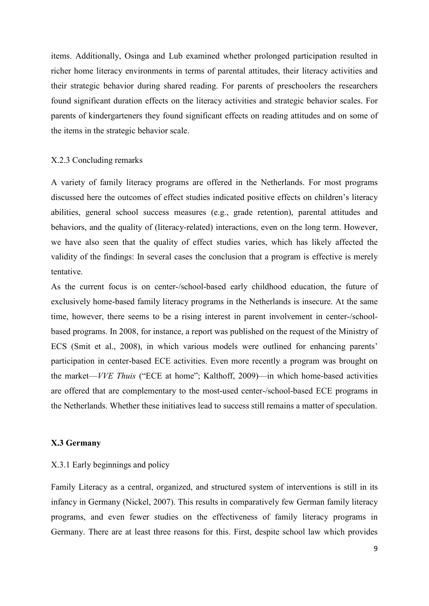items. Additionally, Osinga and Lub examined whether prolonged participation resulted in richer home literacy environments in terms of parental attitudes, their literacy activities and their strategic behavior during shared reading. For parents of preschoolers the researchers found significant duration effects on the literacy activities and strategic behavior scales. For parents of kindergarteners they found significant effects on reading attitudes and on some of the items in the strategic behavior scale.

#### X.2.3 Concluding remarks

A variety of family literacy programs are offered in the Netherlands. For most programs discussed here the outcomes of effect studies indicated positive effects on children's literacy abilities, general school success measures (e.g., grade retention), parental attitudes and behaviors, and the quality of (literacy-related) interactions, even on the long term. However, we have also seen that the quality of effect studies varies, which has likely affected the validity of the findings: In several cases the conclusion that a program is effective is merely tentative.

As the current focus is on center-/school-based early childhood education, the future of exclusively home-based family literacy programs in the Netherlands is insecure. At the same time, however, there seems to be a rising interest in parent involvement in center-/schoolbased programs. In 2008, for instance, a report was published on the request of the Ministry of ECS (Smit et al., 2008), in which various models were outlined for enhancing parents' participation in center-based ECE activities. Even more recently a program was brought on the market—*VVE Thuis* ("ECE at home"; Kalthoff, 2009)—in which home-based activities are offered that are complementary to the most-used center-/school-based ECE programs in the Netherlands. Whether these initiatives lead to success still remains a matter of speculation.

#### **X.3 Germany**

# X.3.1 Early beginnings and policy

Family Literacy as a central, organized, and structured system of interventions is still in its infancy in Germany (Nickel, 2007). This results in comparatively few German family literacy programs, and even fewer studies on the effectiveness of family literacy programs in Germany. There are at least three reasons for this. First, despite school law which provides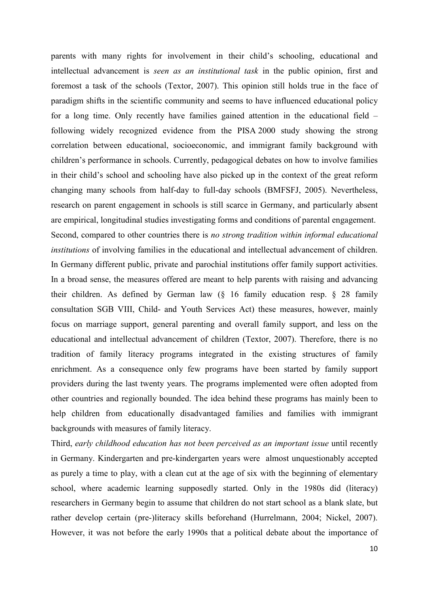parents with many rights for involvement in their child's schooling, educational and intellectual advancement is *seen as an institutional task* in the public opinion, first and foremost a task of the schools (Textor, 2007). This opinion still holds true in the face of paradigm shifts in the scientific community and seems to have influenced educational policy for a long time. Only recently have families gained attention in the educational field – following widely recognized evidence from the PISA 2000 study showing the strong correlation between educational, socioeconomic, and immigrant family background with children's performance in schools. Currently, pedagogical debates on how to involve families in their child's school and schooling have also picked up in the context of the great reform changing many schools from half-day to full-day schools (BMFSFJ, 2005). Nevertheless, research on parent engagement in schools is still scarce in Germany, and particularly absent are empirical, longitudinal studies investigating forms and conditions of parental engagement. Second, compared to other countries there is *no strong tradition within informal educational institutions* of involving families in the educational and intellectual advancement of children. In Germany different public, private and parochial institutions offer family support activities. In a broad sense, the measures offered are meant to help parents with raising and advancing their children. As defined by German law (§ 16 family education resp. § 28 family consultation SGB VIII, Child- and Youth Services Act) these measures, however, mainly focus on marriage support, general parenting and overall family support, and less on the educational and intellectual advancement of children (Textor, 2007). Therefore, there is no tradition of family literacy programs integrated in the existing structures of family enrichment. As a consequence only few programs have been started by family support providers during the last twenty years. The programs implemented were often adopted from other countries and regionally bounded. The idea behind these programs has mainly been to help children from educationally disadvantaged families and families with immigrant backgrounds with measures of family literacy.

Third, *early childhood education has not been perceived as an important issue* until recently in Germany. Kindergarten and pre-kindergarten years were almost unquestionably accepted as purely a time to play, with a clean cut at the age of six with the beginning of elementary school, where academic learning supposedly started. Only in the 1980s did (literacy) researchers in Germany begin to assume that children do not start school as a blank slate, but rather develop certain (pre-)literacy skills beforehand (Hurrelmann, 2004; Nickel, 2007). However, it was not before the early 1990s that a political debate about the importance of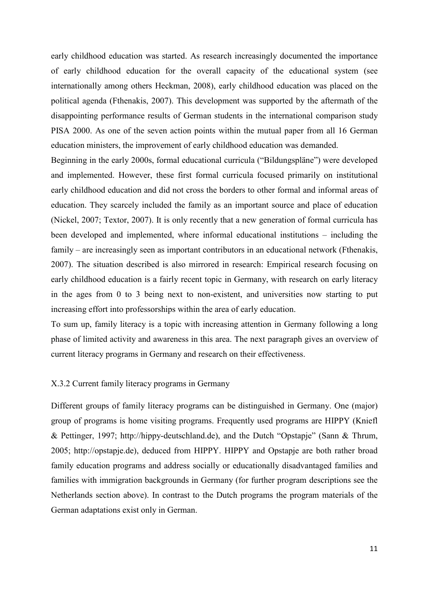early childhood education was started. As research increasingly documented the importance of early childhood education for the overall capacity of the educational system (see internationally among others Heckman, 2008), early childhood education was placed on the political agenda (Fthenakis, 2007). This development was supported by the aftermath of the disappointing performance results of German students in the international comparison study PISA 2000. As one of the seven action points within the mutual paper from all 16 German education ministers, the improvement of early childhood education was demanded.

Beginning in the early 2000s, formal educational curricula ("Bildungspläne") were developed and implemented. However, these first formal curricula focused primarily on institutional early childhood education and did not cross the borders to other formal and informal areas of education. They scarcely included the family as an important source and place of education (Nickel, 2007; Textor, 2007). It is only recently that a new generation of formal curricula has been developed and implemented, where informal educational institutions – including the family – are increasingly seen as important contributors in an educational network (Fthenakis, 2007). The situation described is also mirrored in research: Empirical research focusing on early childhood education is a fairly recent topic in Germany, with research on early literacy in the ages from 0 to 3 being next to non-existent, and universities now starting to put increasing effort into professorships within the area of early education.

To sum up, family literacy is a topic with increasing attention in Germany following a long phase of limited activity and awareness in this area. The next paragraph gives an overview of current literacy programs in Germany and research on their effectiveness.

# X.3.2 Current family literacy programs in Germany

Different groups of family literacy programs can be distinguished in Germany. One (major) group of programs is home visiting programs. Frequently used programs are HIPPY (Kniefl & Pettinger, 1997; http://hippy-deutschland.de), and the Dutch "Opstapje" (Sann & Thrum, 2005; http://opstapje.de), deduced from HIPPY. HIPPY and Opstapje are both rather broad family education programs and address socially or educationally disadvantaged families and families with immigration backgrounds in Germany (for further program descriptions see the Netherlands section above). In contrast to the Dutch programs the program materials of the German adaptations exist only in German.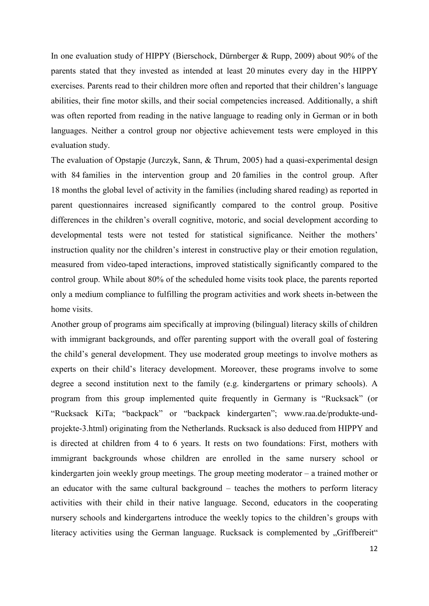In one evaluation study of HIPPY (Bierschock, Dürnberger & Rupp, 2009) about 90% of the parents stated that they invested as intended at least 20 minutes every day in the HIPPY exercises. Parents read to their children more often and reported that their children's language abilities, their fine motor skills, and their social competencies increased. Additionally, a shift was often reported from reading in the native language to reading only in German or in both languages. Neither a control group nor objective achievement tests were employed in this evaluation study.

The evaluation of Opstapje (Jurczyk, Sann, & Thrum, 2005) had a quasi-experimental design with 84 families in the intervention group and 20 families in the control group. After 18 months the global level of activity in the families (including shared reading) as reported in parent questionnaires increased significantly compared to the control group. Positive differences in the children's overall cognitive, motoric, and social development according to developmental tests were not tested for statistical significance. Neither the mothers' instruction quality nor the children's interest in constructive play or their emotion regulation, measured from video-taped interactions, improved statistically significantly compared to the control group. While about 80% of the scheduled home visits took place, the parents reported only a medium compliance to fulfilling the program activities and work sheets in-between the home visits.

Another group of programs aim specifically at improving (bilingual) literacy skills of children with immigrant backgrounds, and offer parenting support with the overall goal of fostering the child's general development. They use moderated group meetings to involve mothers as experts on their child's literacy development. Moreover, these programs involve to some degree a second institution next to the family (e.g. kindergartens or primary schools). A program from this group implemented quite frequently in Germany is "Rucksack" (or "Rucksack KiTa; "backpack" or "backpack kindergarten"; www.raa.de/produkte-undprojekte-3.html) originating from the Netherlands. Rucksack is also deduced from HIPPY and is directed at children from 4 to 6 years. It rests on two foundations: First, mothers with immigrant backgrounds whose children are enrolled in the same nursery school or kindergarten join weekly group meetings. The group meeting moderator – a trained mother or an educator with the same cultural background – teaches the mothers to perform literacy activities with their child in their native language. Second, educators in the cooperating nursery schools and kindergartens introduce the weekly topics to the children's groups with literacy activities using the German language. Rucksack is complemented by "Griffbereit"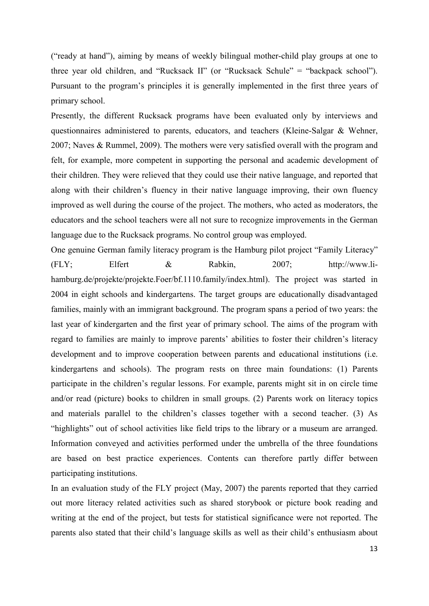("ready at hand"), aiming by means of weekly bilingual mother-child play groups at one to three year old children, and "Rucksack II" (or "Rucksack Schule" = "backpack school"). Pursuant to the program's principles it is generally implemented in the first three years of primary school.

Presently, the different Rucksack programs have been evaluated only by interviews and questionnaires administered to parents, educators, and teachers (Kleine-Salgar & Wehner, 2007; Naves & Rummel, 2009). The mothers were very satisfied overall with the program and felt, for example, more competent in supporting the personal and academic development of their children. They were relieved that they could use their native language, and reported that along with their children's fluency in their native language improving, their own fluency improved as well during the course of the project. The mothers, who acted as moderators, the educators and the school teachers were all not sure to recognize improvements in the German language due to the Rucksack programs. No control group was employed.

One genuine German family literacy program is the Hamburg pilot project "Family Literacy" (FLY; Elfert & Rabkin, 2007; http://www.lihamburg.de/projekte/projekte.Foer/bf.1110.family/index.html). The project was started in 2004 in eight schools and kindergartens. The target groups are educationally disadvantaged families, mainly with an immigrant background. The program spans a period of two years: the last year of kindergarten and the first year of primary school. The aims of the program with regard to families are mainly to improve parents' abilities to foster their children's literacy development and to improve cooperation between parents and educational institutions (i.e. kindergartens and schools). The program rests on three main foundations: (1) Parents participate in the children's regular lessons. For example, parents might sit in on circle time and/or read (picture) books to children in small groups. (2) Parents work on literacy topics and materials parallel to the children's classes together with a second teacher. (3) As "highlights" out of school activities like field trips to the library or a museum are arranged. Information conveyed and activities performed under the umbrella of the three foundations are based on best practice experiences. Contents can therefore partly differ between participating institutions.

In an evaluation study of the FLY project (May, 2007) the parents reported that they carried out more literacy related activities such as shared storybook or picture book reading and writing at the end of the project, but tests for statistical significance were not reported. The parents also stated that their child's language skills as well as their child's enthusiasm about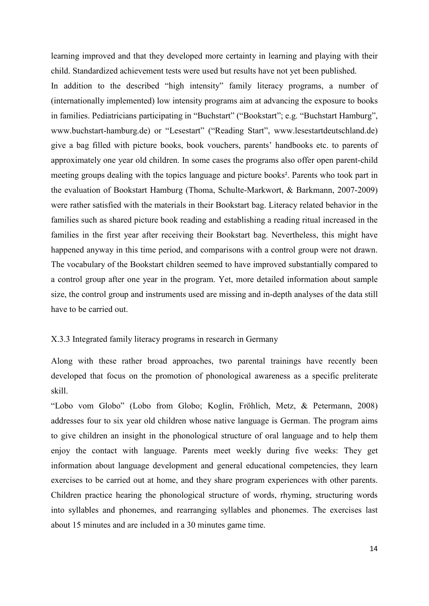learning improved and that they developed more certainty in learning and playing with their child. Standardized achievement tests were used but results have not yet been published.

In addition to the described "high intensity" family literacy programs, a number of (internationally implemented) low intensity programs aim at advancing the exposure to books in families. Pediatricians participating in "Buchstart" ("Bookstart"; e.g. "Buchstart Hamburg", www.buchstart-hamburg.de) or "Lesestart" ("Reading Start", www.lesestartdeutschland.de) give a bag filled with picture books, book vouchers, parents' handbooks etc. to parents of approximately one year old children. In some cases the programs also offer open parent-child meeting groups dealing with the topics language and picture books². Parents who took part in the evaluation of Bookstart Hamburg (Thoma, Schulte-Markwort, & Barkmann, 2007-2009) were rather satisfied with the materials in their Bookstart bag. Literacy related behavior in the families such as shared picture book reading and establishing a reading ritual increased in the families in the first year after receiving their Bookstart bag. Nevertheless, this might have happened anyway in this time period, and comparisons with a control group were not drawn. The vocabulary of the Bookstart children seemed to have improved substantially compared to a control group after one year in the program. Yet, more detailed information about sample size, the control group and instruments used are missing and in-depth analyses of the data still have to be carried out.

# X.3.3 Integrated family literacy programs in research in Germany

Along with these rather broad approaches, two parental trainings have recently been developed that focus on the promotion of phonological awareness as a specific preliterate skill.

"Lobo vom Globo" (Lobo from Globo; Koglin, Fröhlich, Metz, & Petermann, 2008) addresses four to six year old children whose native language is German. The program aims to give children an insight in the phonological structure of oral language and to help them enjoy the contact with language. Parents meet weekly during five weeks: They get information about language development and general educational competencies, they learn exercises to be carried out at home, and they share program experiences with other parents. Children practice hearing the phonological structure of words, rhyming, structuring words into syllables and phonemes, and rearranging syllables and phonemes. The exercises last about 15 minutes and are included in a 30 minutes game time.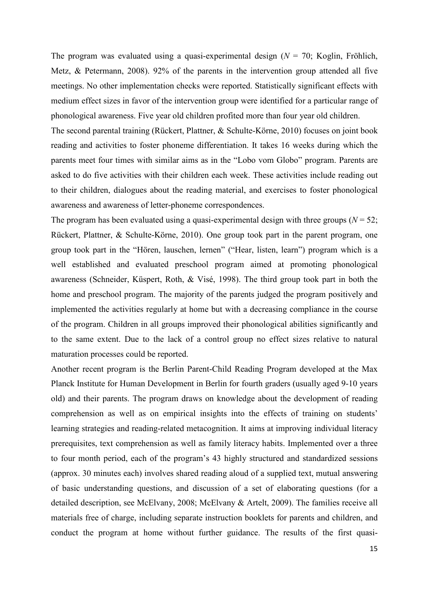The program was evaluated using a quasi-experimental design (*N* = 70; Koglin, Fröhlich, Metz, & Petermann, 2008). 92% of the parents in the intervention group attended all five meetings. No other implementation checks were reported. Statistically significant effects with medium effect sizes in favor of the intervention group were identified for a particular range of phonological awareness. Five year old children profited more than four year old children.

The second parental training (Rückert, Plattner, & Schulte-Körne, 2010) focuses on joint book reading and activities to foster phoneme differentiation. It takes 16 weeks during which the parents meet four times with similar aims as in the "Lobo vom Globo" program. Parents are asked to do five activities with their children each week. These activities include reading out to their children, dialogues about the reading material, and exercises to foster phonological awareness and awareness of letter-phoneme correspondences.

The program has been evaluated using a quasi-experimental design with three groups ( $N = 52$ ; Rückert, Plattner, & Schulte-Körne, 2010). One group took part in the parent program, one group took part in the "Hören, lauschen, lernen" ("Hear, listen, learn") program which is a well established and evaluated preschool program aimed at promoting phonological awareness (Schneider, Küspert, Roth, & Visé, 1998). The third group took part in both the home and preschool program. The majority of the parents judged the program positively and implemented the activities regularly at home but with a decreasing compliance in the course of the program. Children in all groups improved their phonological abilities significantly and to the same extent. Due to the lack of a control group no effect sizes relative to natural maturation processes could be reported.

Another recent program is the Berlin Parent-Child Reading Program developed at the Max Planck Institute for Human Development in Berlin for fourth graders (usually aged 9-10 years old) and their parents. The program draws on knowledge about the development of reading comprehension as well as on empirical insights into the effects of training on students' learning strategies and reading-related metacognition. It aims at improving individual literacy prerequisites, text comprehension as well as family literacy habits. Implemented over a three to four month period, each of the program's 43 highly structured and standardized sessions (approx. 30 minutes each) involves shared reading aloud of a supplied text, mutual answering of basic understanding questions, and discussion of a set of elaborating questions (for a detailed description, see McElvany, 2008; McElvany & Artelt, 2009). The families receive all materials free of charge, including separate instruction booklets for parents and children, and conduct the program at home without further guidance. The results of the first quasi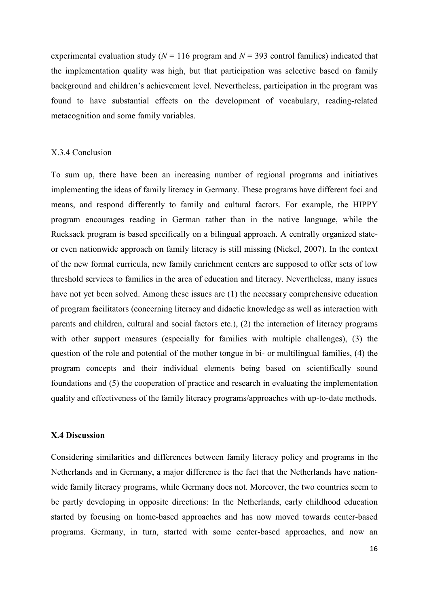experimental evaluation study ( $N = 116$  program and  $N = 393$  control families) indicated that the implementation quality was high, but that participation was selective based on family background and children's achievement level. Nevertheless, participation in the program was found to have substantial effects on the development of vocabulary, reading-related metacognition and some family variables.

### X.3.4 Conclusion

To sum up, there have been an increasing number of regional programs and initiatives implementing the ideas of family literacy in Germany. These programs have different foci and means, and respond differently to family and cultural factors. For example, the HIPPY program encourages reading in German rather than in the native language, while the Rucksack program is based specifically on a bilingual approach. A centrally organized stateor even nationwide approach on family literacy is still missing (Nickel, 2007). In the context of the new formal curricula, new family enrichment centers are supposed to offer sets of low threshold services to families in the area of education and literacy. Nevertheless, many issues have not yet been solved. Among these issues are (1) the necessary comprehensive education of program facilitators (concerning literacy and didactic knowledge as well as interaction with parents and children, cultural and social factors etc.), (2) the interaction of literacy programs with other support measures (especially for families with multiple challenges), (3) the question of the role and potential of the mother tongue in bi- or multilingual families, (4) the program concepts and their individual elements being based on scientifically sound foundations and (5) the cooperation of practice and research in evaluating the implementation quality and effectiveness of the family literacy programs/approaches with up-to-date methods.

### **X.4 Discussion**

Considering similarities and differences between family literacy policy and programs in the Netherlands and in Germany, a major difference is the fact that the Netherlands have nationwide family literacy programs, while Germany does not. Moreover, the two countries seem to be partly developing in opposite directions: In the Netherlands, early childhood education started by focusing on home-based approaches and has now moved towards center-based programs. Germany, in turn, started with some center-based approaches, and now an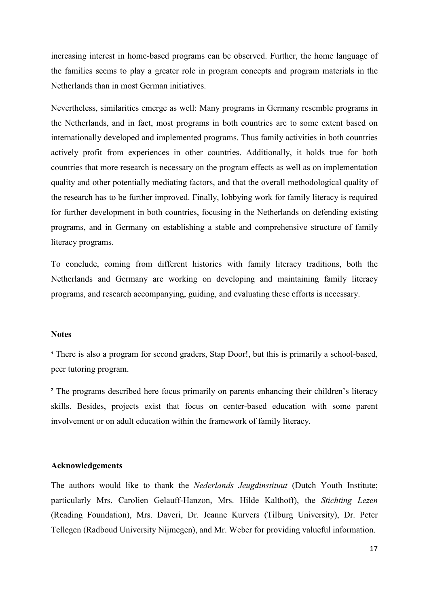increasing interest in home-based programs can be observed. Further, the home language of the families seems to play a greater role in program concepts and program materials in the Netherlands than in most German initiatives.

Nevertheless, similarities emerge as well: Many programs in Germany resemble programs in the Netherlands, and in fact, most programs in both countries are to some extent based on internationally developed and implemented programs. Thus family activities in both countries actively profit from experiences in other countries. Additionally, it holds true for both countries that more research is necessary on the program effects as well as on implementation quality and other potentially mediating factors, and that the overall methodological quality of the research has to be further improved. Finally, lobbying work for family literacy is required for further development in both countries, focusing in the Netherlands on defending existing programs, and in Germany on establishing a stable and comprehensive structure of family literacy programs.

To conclude, coming from different histories with family literacy traditions, both the Netherlands and Germany are working on developing and maintaining family literacy programs, and research accompanying, guiding, and evaluating these efforts is necessary.

# **Notes**

<sup>1</sup> There is also a program for second graders, Stap Door!, but this is primarily a school-based, peer tutoring program.

² The programs described here focus primarily on parents enhancing their children's literacy skills. Besides, projects exist that focus on center-based education with some parent involvement or on adult education within the framework of family literacy.

### **Acknowledgements**

The authors would like to thank the *Nederlands Jeugdinstituut* (Dutch Youth Institute; particularly Mrs. Carolien Gelauff-Hanzon, Mrs. Hilde Kalthoff), the *Stichting Lezen* (Reading Foundation), Mrs. Daveri, Dr. Jeanne Kurvers (Tilburg University), Dr. Peter Tellegen (Radboud University Nijmegen), and Mr. Weber for providing valueful information.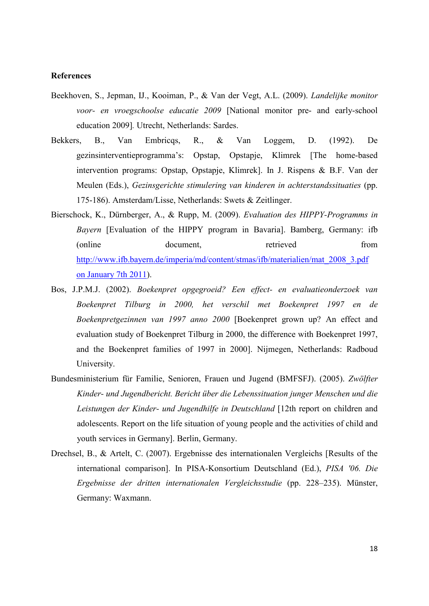# **References**

- Beekhoven, S., Jepman, IJ., Kooiman, P., & Van der Vegt, A.L. (2009). *Landelijke monitor voor- en vroegschoolse educatie 2009* [National monitor pre- and early-school education 2009]*.* Utrecht, Netherlands: Sardes.
- Bekkers, B., Van Embricqs, R., & Van Loggem, D. (1992). De gezinsinterventieprogramma's: Opstap, Opstapje, Klimrek [The home-based intervention programs: Opstap, Opstapje, Klimrek]. In J. Rispens & B.F. Van der Meulen (Eds.), *Gezinsgerichte stimulering van kinderen in achterstandssituaties* (pp. 175-186). Amsterdam/Lisse, Netherlands: Swets & Zeitlinger.
- Bierschock, K., Dürnberger, A., & Rupp, M. (2009). *Evaluation des HIPPY-Programms in Bayern* [Evaluation of the HIPPY program in Bavaria]. Bamberg, Germany: ifb (online document, retrieved from [http://www.ifb.bayern.de/imperia/md/content/stmas/ifb/materialien/mat\\_2008\\_3.pdf](http://www.ifb.bayern.de/imperia/md/content/stmas/ifb/materialien/mat_2008_3.pdf%20on%20January%207th%202011)  [on January 7th 2011\)](http://www.ifb.bayern.de/imperia/md/content/stmas/ifb/materialien/mat_2008_3.pdf%20on%20January%207th%202011).
- Bos, J.P.M.J. (2002). *Boekenpret opgegroeid? Een effect- en evaluatieonderzoek van Boekenpret Tilburg in 2000, het verschil met Boekenpret 1997 en de Boekenpretgezinnen van 1997 anno 2000* [Boekenpret grown up? An effect and evaluation study of Boekenpret Tilburg in 2000, the difference with Boekenpret 1997, and the Boekenpret families of 1997 in 2000]. Nijmegen, Netherlands: Radboud University.
- Bundesministerium für Familie, Senioren, Frauen und Jugend (BMFSFJ). (2005). *Zwölfter Kinder- und Jugendbericht. Bericht über die Lebenssituation junger Menschen und die Leistungen der Kinder- und Jugendhilfe in Deutschland* [12th report on children and adolescents. Report on the life situation of young people and the activities of child and youth services in Germany]. Berlin, Germany.
- Drechsel, B., & Artelt, C. (2007). Ergebnisse des internationalen Vergleichs [Results of the international comparison]. In PISA-Konsortium Deutschland (Ed.), *PISA '06. Die Ergebnisse der dritten internationalen Vergleichsstudie* (pp. 228*–*235). Münster, Germany: Waxmann.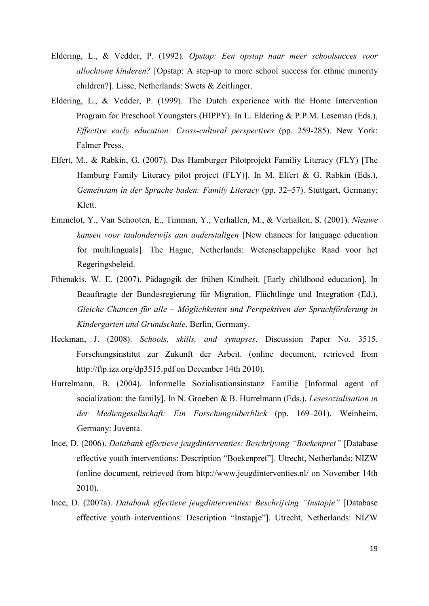- Eldering, L., & Vedder, P. (1992). *Opstap: Een opstap naar meer schoolsucces voor allochtone kinderen?* [Opstap: A step-up to more school success for ethnic minority children?]. Lisse, Netherlands: Swets & Zeitlinger.
- Eldering, L., & Vedder, P. (1999). The Dutch experience with the Home Intervention Program for Preschool Youngsters (HIPPY). In L. Eldering & P.P.M. Leseman (Eds.), *Effective early education: Cross-cultural perspectives* (pp. 259-285). New York: Falmer Press.
- Elfert, M., & Rabkin, G. (2007). Das Hamburger Pilotprojekt Familiy Literacy (FLY) [The Hamburg Family Literacy pilot project (FLY)]. In M. Elfert & G. Rabkin (Eds.), *Gemeinsam in der Sprache baden: Family Literacy* (pp. 32*–*57). Stuttgart, Germany: Klett.
- Emmelot, Y., Van Schooten, E., Timman, Y., Verhallen, M., & Verhallen, S. (2001). *Nieuwe kansen voor taalonderwijs aan anderstaligen* [New chances for language education for multilinguals]*.* The Hague, Netherlands: Wetenschappelijke Raad voor het Regeringsbeleid.
- Fthenakis, W. E. (2007). Pädagogik der frühen Kindheit. [Early childhood education]. In Beauftragte der Bundesregierung für Migration, Flüchtlinge und Integration (Ed.), *Gleiche Chancen für alle – Möglichkeiten und Perspektiven der Sprachförderung in Kindergarten und Grundschule*. Berlin, Germany.
- Heckman, J. (2008). *Schools, skills, and synapses*. Discussion Paper No. 3515. Forschungsinstitut zur Zukunft der Arbeit. (online document, retrieved from http://ftp.iza.org/dp3515.pdf on December 14th 2010).
- Hurrelmann, B. (2004). Informelle Sozialisationsinstanz Familie [Informal agent of socialization: the family]. In N. Groeben & B. Hurrelmann (Eds.), *Lesesozialisation in der Mediengesellschaft: Ein Forschungsüberblick* (pp. 169*–*201). Weinheim, Germany: Juventa.
- Ince, D. (2006). *Databank effectieve jeugdinterventies: Beschrijving "Boekenpret"* [Database effective youth interventions: Description "Boekenpret"]. Utrecht, Netherlands: NIZW (online document, retrieved from<http://www.jeugdinterventies.nl/> on November 14th 2010).
- Ince, D. (2007a). *Databank effectieve jeugdinterventies: Beschrijving "Instapje"* [Database effective youth interventions: Description "Instapje"]. Utrecht, Netherlands: NIZW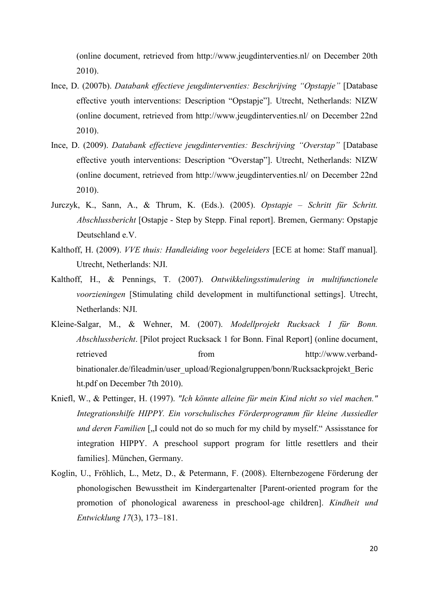(online document, retrieved from<http://www.jeugdinterventies.nl/> on December 20th 2010).

- Ince, D. (2007b). *Databank effectieve jeugdinterventies: Beschrijving "Opstapje"* [Database effective youth interventions: Description "Opstapje"]. Utrecht, Netherlands: NIZW (online document, retrieved from<http://www.jeugdinterventies.nl/> on December 22nd 2010).
- Ince, D. (2009). *Databank effectieve jeugdinterventies: Beschrijving "Overstap"* [Database effective youth interventions: Description "Overstap"]. Utrecht, Netherlands: NIZW (online document, retrieved from<http://www.jeugdinterventies.nl/> on December 22nd 2010).
- Jurczyk, K., Sann, A., & Thrum, K. (Eds.). (2005). *Opstapje – Schritt für Schritt. Abschlussbericht* [Ostapje - Step by Stepp. Final report]. Bremen, Germany: Opstapje Deutschland e.V.
- Kalthoff, H. (2009). *VVE thuis: Handleiding voor begeleiders* [ECE at home: Staff manual]*.* Utrecht, Netherlands: NJI.
- Kalthoff, H., & Pennings, T. (2007). *Ontwikkelingsstimulering in multifunctionele voorzieningen* [Stimulating child development in multifunctional settings]. Utrecht, Netherlands: NJI.
- Kleine-Salgar, M., & Wehner, M. (2007). *Modellprojekt Rucksack 1 für Bonn. Abschlussbericht*. [Pilot project Rucksack 1 for Bonn. Final Report] (online document, retrieved from  $\frac{1}{2}$  from  $\frac{1}{2}$  [http://www.verband](http://www.verband-binationaler.de/fileadmin/user_upload/Regionalgruppen/bonn/Rucksackprojekt_Bericht.pdf%20on%20December%207th%202010)[binationaler.de/fileadmin/user\\_upload/Regionalgruppen/bonn/Rucksackprojekt\\_Beric](http://www.verband-binationaler.de/fileadmin/user_upload/Regionalgruppen/bonn/Rucksackprojekt_Bericht.pdf%20on%20December%207th%202010) [ht.pdf on December 7th 2010\)](http://www.verband-binationaler.de/fileadmin/user_upload/Regionalgruppen/bonn/Rucksackprojekt_Bericht.pdf%20on%20December%207th%202010).
- Kniefl, W., & Pettinger, H. (1997). *"Ich könnte alleine für mein Kind nicht so viel machen." Integrationshilfe HIPPY. Ein vorschulisches Förderprogramm für kleine Aussiedler und deren Familien* [, I could not do so much for my child by myself." Assisstance for integration HIPPY. A preschool support program for little resettlers and their families]. München, Germany.
- Koglin, U., Fröhlich, L., Metz, D., & Petermann, F. (2008). Elternbezogene Förderung der phonologischen Bewusstheit im Kindergartenalter [Parent-oriented program for the promotion of phonological awareness in preschool-age children]. *Kindheit und Entwicklung 17*(3), 173*–*181.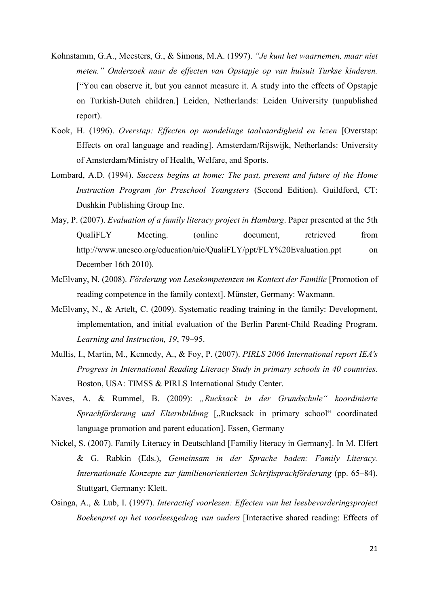- Kohnstamm, G.A., Meesters, G., & Simons, M.A. (1997). *"Je kunt het waarnemen, maar niet meten." Onderzoek naar de effecten van Opstapje op van huisuit Turkse kinderen.*  ["You can observe it, but you cannot measure it. A study into the effects of Opstapje on Turkish-Dutch children.] Leiden, Netherlands: Leiden University (unpublished report).
- Kook, H. (1996). *Overstap: Effecten op mondelinge taalvaardigheid en lezen* [Overstap: Effects on oral language and reading]. Amsterdam/Rijswijk, Netherlands: University of Amsterdam/Ministry of Health, Welfare, and Sports.
- Lombard, A.D. (1994). *Success begins at home: The past, present and future of the Home Instruction Program for Preschool Youngsters* (Second Edition). Guildford, CT: Dushkin Publishing Group Inc.
- May, P. (2007). *Evaluation of a family literacy project in Hamburg*. Paper presented at the 5th QualiFLY Meeting. (online document, retrieved from <http://www.unesco.org/education/uie/QualiFLY/ppt/FLY%20Evaluation.ppt> on December 16th 2010).
- McElvany, N. (2008). *Förderung von Lesekompetenzen im Kontext der Familie* [Promotion of reading competence in the family context]. Münster, Germany: Waxmann.
- McElvany, N., & Artelt, C. (2009). Systematic reading training in the family: Development, implementation, and initial evaluation of the Berlin Parent-Child Reading Program. *Learning and Instruction, 19*, 79*–*95.
- Mullis, I., Martin, M., Kennedy, A., & Foy, P. (2007). *PIRLS 2006 International report IEA's Progress in International Reading Literacy Study in primary schools in 40 countries*. Boston, USA: TIMSS & PIRLS International Study Center.
- Naves, A. & Rummel, B. (2009): *"Rucksack in der Grundschule" koordinierte Sprachförderung und Elternbildung* ["Rucksack in primary school" coordinated language promotion and parent education]. Essen, Germany
- Nickel, S. (2007). Family Literacy in Deutschland [Familiy literacy in Germany]. In M. Elfert & G. Rabkin (Eds.), *Gemeinsam in der Sprache baden: Family Literacy. Internationale Konzepte zur familienorientierten Schriftsprachförderung* (pp. 65*–*84). Stuttgart, Germany: Klett.
- Osinga, A., & Lub, I. (1997). *Interactief voorlezen: Effecten van het leesbevorderingsproject Boekenpret op het voorleesgedrag van ouders* [Interactive shared reading: Effects of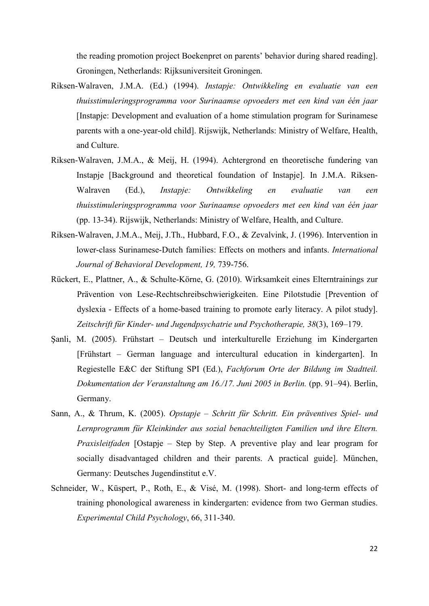the reading promotion project Boekenpret on parents' behavior during shared reading]. Groningen, Netherlands: Rijksuniversiteit Groningen.

- Riksen-Walraven, J.M.A. (Ed.) (1994). *Instapje: Ontwikkeling en evaluatie van een thuisstimuleringsprogramma voor Surinaamse opvoeders met een kind van één jaar* [Instapje: Development and evaluation of a home stimulation program for Surinamese parents with a one-year-old child]. Rijswijk, Netherlands: Ministry of Welfare, Health, and Culture.
- Riksen-Walraven, J.M.A., & Meij, H. (1994). Achtergrond en theoretische fundering van Instapje [Background and theoretical foundation of Instapje]. In J.M.A. Riksen-Walraven (Ed.), *Instapje: Ontwikkeling en evaluatie van een thuisstimuleringsprogramma voor Surinaamse opvoeders met een kind van één jaar* (pp. 13-34). Rijswijk, Netherlands: Ministry of Welfare, Health, and Culture.
- Riksen-Walraven, J.M.A., Meij, J.Th., Hubbard, F.O., & Zevalvink, J. (1996). Intervention in lower-class Surinamese-Dutch families: Effects on mothers and infants. *International Journal of Behavioral Development, 19,* 739-756.
- Rückert, E., Plattner, A., & Schulte-Körne, G. (2010). Wirksamkeit eines Elterntrainings zur Prävention von Lese-Rechtschreibschwierigkeiten. Eine Pilotstudie [Prevention of dyslexia - Effects of a home-based training to promote early literacy. A pilot study]. *Zeitschrift für Kinder- und Jugendpsychatrie und Psychotherapie, 38*(3), 169*–*179.
- Şanli, M. (2005). Frühstart Deutsch und interkulturelle Erziehung im Kindergarten [Frühstart – German language and intercultural education in kindergarten]. In Regiestelle E&C der Stiftung SPI (Ed.), *Fachforum Orte der Bildung im Stadtteil. Dokumentation der Veranstaltung am 16./17. Juni 2005 in Berlin.* (pp. 91–94). Berlin, Germany.
- Sann, A., & Thrum, K. (2005). *Opstapje – Schritt für Schritt. Ein präventives Spiel- und Lernprogramm für Kleinkinder aus sozial benachteiligten Familien und ihre Eltern. Praxisleitfaden* [Ostapje – Step by Step. A preventive play and lear program for socially disadvantaged children and their parents. A practical guide]. München, Germany: Deutsches Jugendinstitut e.V.
- Schneider, W., Küspert, P., Roth, E., & Visé, M. (1998). Short- and long-term effects of training phonological awareness in kindergarten: evidence from two German studies. *Experimental Child Psychology*, 66, 311-340.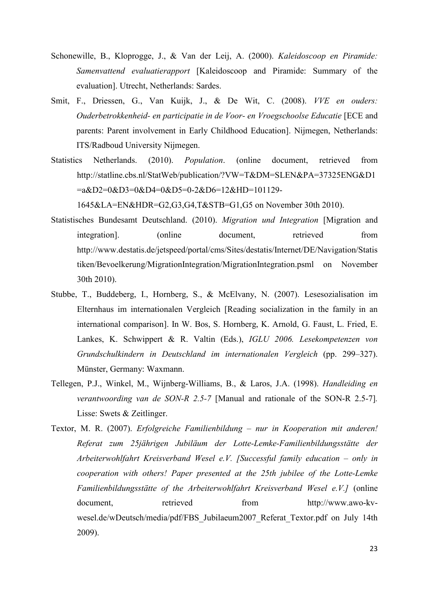- Schonewille, B., Kloprogge, J., & Van der Leij, A. (2000). *Kaleidoscoop en Piramide: Samenvattend evaluatierapport* [Kaleidoscoop and Piramide: Summary of the evaluation]. Utrecht, Netherlands: Sardes.
- Smit, F., Driessen, G., Van Kuijk, J., & De Wit, C. (2008). *VVE en ouders: Ouderbetrokkenheid- en participatie in de Voor- en Vroegschoolse Educatie* [ECE and parents: Parent involvement in Early Childhood Education]. Nijmegen, Netherlands: ITS/Radboud University Nijmegen.
- Statistics Netherlands. (2010). *Population*. (online document, retrieved from http://statline.cbs.nl/StatWeb/publication/?VW=T&DM=SLEN&PA=37325ENG&D1 =a&D2=0&D3=0&D4=0&D5=0-2&D6=12&HD=101129-

1645&LA=EN&HDR=G2,G3,G4,T&STB=G1,G5 on November 30th 2010).

- Statistisches Bundesamt Deutschland. (2010). *Migration und Integration* [Migration and integration]. (online document, retrieved from [http://www.destatis.de/jetspeed/portal/cms/Sites/destatis/Internet/DE/Navigation/Statis](http://www.destatis.de/jetspeed/portal/cms/Sites/destatis/Internet/DE/Navigation/Statistiken/Bevoelkerung/MigrationIntegration/MigrationIntegration.psml) [tiken/Bevoelkerung/MigrationIntegration/MigrationIntegration.psml](http://www.destatis.de/jetspeed/portal/cms/Sites/destatis/Internet/DE/Navigation/Statistiken/Bevoelkerung/MigrationIntegration/MigrationIntegration.psml) on November 30th 2010).
- Stubbe, T., Buddeberg, I., Hornberg, S., & McElvany, N. (2007). Lesesozialisation im Elternhaus im internationalen Vergleich [Reading socialization in the family in an international comparison]. In W. Bos, S. Hornberg, K. Arnold, G. Faust, L. Fried, E. Lankes, K. Schwippert & R. Valtin (Eds.), *IGLU 2006. Lesekompetenzen von Grundschulkindern in Deutschland im internationalen Vergleich* (pp. 299*–*327). Münster, Germany: Waxmann.
- Tellegen, P.J., Winkel, M., Wijnberg-Williams, B., & Laros, J.A. (1998). *Handleiding en verantwoording van de SON-R 2.5-7* [Manual and rationale of the SON-R 2.5-7]*.* Lisse: Swets & Zeitlinger.
- Textor, M. R. (2007). *Erfolgreiche Familienbildung – nur in Kooperation mit anderen! Referat zum 25jährigen Jubiläum der Lotte-Lemke-Familienbildungsstätte der Arbeiterwohlfahrt Kreisverband Wesel e.V. [Successful family education – only in cooperation with others! Paper presented at the 25th jubilee of the Lotte-Lemke Familienbildungsstätte of the Arbeiterwohlfahrt Kreisverband Wesel e.V.]* (online document. The retrieved from http://www.awo-kvwesel.de/wDeutsch/media/pdf/FBS\_Jubilaeum2007\_Referat\_Textor.pdf on July 14th 2009).